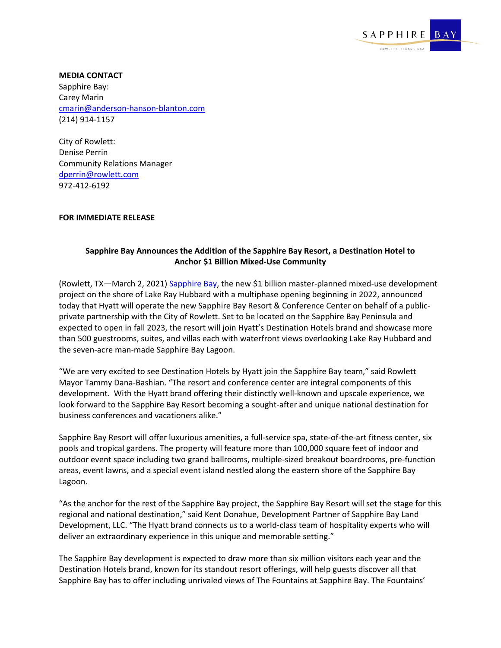

**MEDIA CONTACT** Sapphire Bay: Carey Marin [cmarin@anderson-hanson-blanton.com](mailto:cmarin@anderson-hanson-blanton.com) (214) 914-1157

City of Rowlett: Denise Perrin Community Relations Manager [dperrin@rowlett.com](mailto:dperrin@rowlett.com) 972-412-6192

## **FOR IMMEDIATE RELEASE**

## **Sapphire Bay Announces the Addition of the Sapphire Bay Resort, a Destination Hotel to Anchor \$1 Billion Mixed-Use Community**

(Rowlett, TX—March 2, 2021) [Sapphire Bay,](http://www.sapphirebaytexas.com/) the new \$1 billion master-planned mixed-use development project on the shore of Lake Ray Hubbard with a multiphase opening beginning in 2022, announced today that Hyatt will operate the new Sapphire Bay Resort & Conference Center on behalf of a publicprivate partnership with the City of Rowlett. Set to be located on the Sapphire Bay Peninsula and expected to open in fall 2023, the resort will join Hyatt's Destination Hotels brand and showcase more than 500 guestrooms, suites, and villas each with waterfront views overlooking Lake Ray Hubbard and the seven-acre man-made Sapphire Bay Lagoon.

"We are very excited to see Destination Hotels by Hyatt join the Sapphire Bay team," said Rowlett Mayor Tammy Dana-Bashian. "The resort and conference center are integral components of this development. With the Hyatt brand offering their distinctly well-known and upscale experience, we look forward to the Sapphire Bay Resort becoming a sought-after and unique national destination for business conferences and vacationers alike."

Sapphire Bay Resort will offer luxurious amenities, a full-service spa, state-of-the-art fitness center, six pools and tropical gardens. The property will feature more than 100,000 square feet of indoor and outdoor event space including two grand ballrooms, multiple-sized breakout boardrooms, pre-function areas, event lawns, and a special event island nestled along the eastern shore of the Sapphire Bay Lagoon.

"As the anchor for the rest of the Sapphire Bay project, the Sapphire Bay Resort will set the stage for this regional and national destination," said Kent Donahue, Development Partner of Sapphire Bay Land Development, LLC. "The Hyatt brand connects us to a world-class team of hospitality experts who will deliver an extraordinary experience in this unique and memorable setting."

The Sapphire Bay development is expected to draw more than six million visitors each year and the Destination Hotels brand, known for its standout resort offerings, will help guests discover all that Sapphire Bay has to offer including unrivaled views of The Fountains at Sapphire Bay. The Fountains'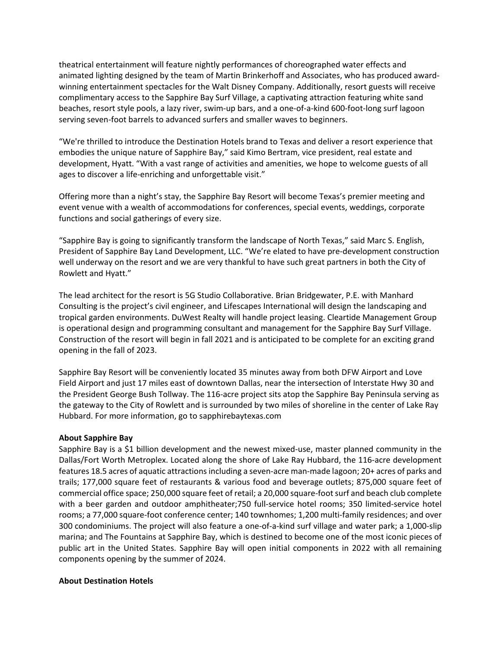theatrical entertainment will feature nightly performances of choreographed water effects and animated lighting designed by the team of Martin Brinkerhoff and Associates, who has produced awardwinning entertainment spectacles for the Walt Disney Company. Additionally, resort guests will receive complimentary access to the Sapphire Bay Surf Village, a captivating attraction featuring white sand beaches, resort style pools, a lazy river, swim-up bars, and a one-of-a-kind 600-foot-long surf lagoon serving seven-foot barrels to advanced surfers and smaller waves to beginners.

"We're thrilled to introduce the Destination Hotels brand to Texas and deliver a resort experience that embodies the unique nature of Sapphire Bay," said Kimo Bertram, vice president, real estate and development, Hyatt. "With a vast range of activities and amenities, we hope to welcome guests of all ages to discover a life-enriching and unforgettable visit."

Offering more than a night's stay, the Sapphire Bay Resort will become Texas's premier meeting and event venue with a wealth of accommodations for conferences, special events, weddings, corporate functions and social gatherings of every size.

"Sapphire Bay is going to significantly transform the landscape of North Texas," said Marc S. English, President of Sapphire Bay Land Development, LLC. "We're elated to have pre-development construction well underway on the resort and we are very thankful to have such great partners in both the City of Rowlett and Hyatt."

The lead architect for the resort is 5G Studio Collaborative. Brian Bridgewater, P.E. with Manhard Consulting is the project's civil engineer, and Lifescapes International will design the landscaping and tropical garden environments. DuWest Realty will handle project leasing. Cleartide Management Group is operational design and programming consultant and management for the Sapphire Bay Surf Village. Construction of the resort will begin in fall 2021 and is anticipated to be complete for an exciting grand opening in the fall of 2023.

Sapphire Bay Resort will be conveniently located 35 minutes away from both DFW Airport and Love Field Airport and just 17 miles east of downtown Dallas, near the intersection of Interstate Hwy 30 and the President George Bush Tollway. The 116-acre project sits atop the Sapphire Bay Peninsula serving as the gateway to the City of Rowlett and is surrounded by two miles of shoreline in the center of Lake Ray Hubbard. For more information, go to sapphirebaytexas.com

## **About Sapphire Bay**

Sapphire Bay is a \$1 billion development and the newest mixed-use, master planned community in the Dallas/Fort Worth Metroplex. Located along the shore of Lake Ray Hubbard, the 116-acre development features 18.5 acres of aquatic attractions including a seven-acre man-made lagoon; 20+ acres of parks and trails; 177,000 square feet of restaurants & various food and beverage outlets; 875,000 square feet of commercial office space; 250,000 square feet of retail; a 20,000 square-foot surf and beach club complete with a beer garden and outdoor amphitheater;750 full-service hotel rooms; 350 limited-service hotel rooms; a 77,000 square-foot conference center; 140 townhomes; 1,200 multi-family residences; and over 300 condominiums. The project will also feature a one-of-a-kind surf village and water park; a 1,000-slip marina; and The Fountains at Sapphire Bay, which is destined to become one of the most iconic pieces of public art in the United States. Sapphire Bay will open initial components in 2022 with all remaining components opening by the summer of 2024.

## **About Destination Hotels**